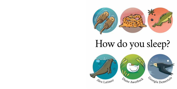

## How do you sleep?

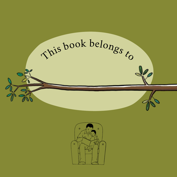

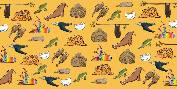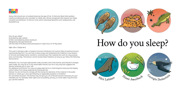



Every child should own a hundred books by the age of five. To that end, Book Dash gathers creative professionals who volunteer to create new, African storybooks that anyone can freely translate and distribute. To find out more, and to download beautiful, print-ready books, visit [bookdash.org](http://bookdash.org).

How do you sleep? Illustrated by Alex Latimer Written and edited by Diane Awerbuck Designed by Georgia Demertzis with the help of the Book Dash participants in Cape Town on 14 May 2022.

ISBN: 978-1-776324-44-6

This work is licensed under a Creative Commons Attribution 4.0 Licence (http://creativecommons. org/licenses/by/4.0/). You are free to share (copy and redistribute the material in any medium or format) and adapt (remix, transform, and build upon the material) this work for any purpose, even commercially. The licensor cannot revoke these freedoms as long as you follow the following license terms:

Attribution: You must give appropriate credit, provide a link to the license, and indicate if changes were made. You may do so in any reasonable manner, but not in any way that suggests the licensor endorses you or your use.

No additional restrictions: You may not apply legal terms or technological measures that legally restrict others from doing anything the license permits.

Notices: You do not have to comply with the license for elements of the material in the public domain or where your use is permitted by an applicable exception or limitation.

No warranties are given. The license may not give you all of the permissions necessary for your intended use. For example, other rights such as publicity, privacy, or moral rights may limit how you use the material.



## How do you sleep?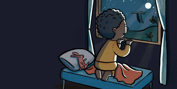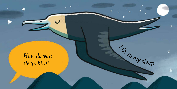*How do you sleep, bird?*

⋇

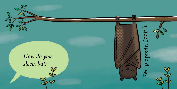

### *How do you sleep, bat?*



 $\blacktriangleright$ sle $\boldsymbol{\sigma}$  $\blacktriangledown$  $\blacktriangleright$  $\Delta$  $\boldsymbol{\mathcal{S}}$  $\overline{\phantom{a}}$  .  $\mathbf{\Omega}$  $\overline{\mathsf{C}}$ down.

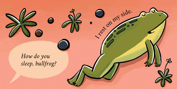How do you<br>sleep, bullfrog?



resion my side.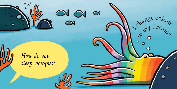

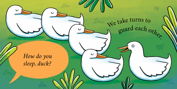W<sup>e</sup>



<sup>g</sup>ua<sup>r</sup><sup>d</sup>

 $\left( \cdot \right)$ 

*How do you sleep, duck?*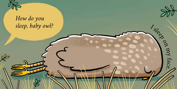# How do you<br>sleep, baby owl?

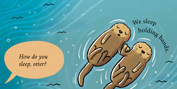*How do you sleep, otter?*

 $\sigma$ 

 $\circ$ 

 $\bullet$ 

 $\circ$ 

 $\circ$ 

 $\bullet$ 

 $\circ$ 

 $\circ$ 

 $\circ$ 

 $\circ$ 

 $\bullet$ 

 $\circ$ 

 $\circ$ 

 $\circ$ 

 $\circ$ 

 $\circ$ 

 $\circ$ 

 $\circ$ 

 $\circ$ 

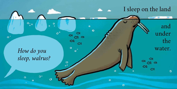*How do you sleep, walrus?*

۰

 $\circ$ 

D°

 $\circ$ 

 $\circ_{\mathfrak{z} \circ}$ 

 $\circ$ <sup>\*</sup>

 $\frac{1}{2}$ 

 $\circ$ 

 $\infty$ 

 $\infty$ 

 $\bullet$ 

 $\circ$ 

 $\rm \simeq$ 

 $\circ^*$ 

 $\bullet$ 

 $\bullet$ 

 $\circ$ 

 $\bullet$ 

 $\mathbf{o}$ 

 $\bullet$ 

#### I sleep on the land

### and under the water.

 $\approx$ 

 $\rm \sim$ 

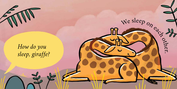

*How do you sleep, giraffe?*

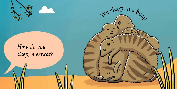

### *How do you sleep, meerkat?*

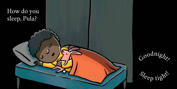



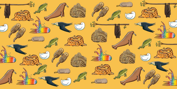